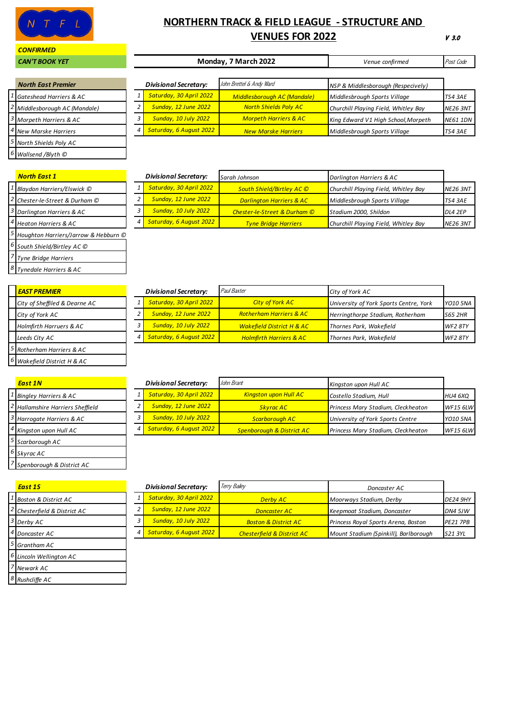

#### *CONFIRMED*

# **NORTHERN TRACK & FIELD LEAGUE - STRUCTURE AND VENUES FOR 2022**

V 3.0

| <b>CAN'T BOOK YET</b>            |  |                              | Monday, 7 March 2022               | Venue confirmed                      | Post Code       |
|----------------------------------|--|------------------------------|------------------------------------|--------------------------------------|-----------------|
| <b>North East Premier</b>        |  | <b>Divisional Secretary:</b> | John Brettel & Andy Ward           | NSP & Middlesborough (Respecively)   |                 |
| Gateshead Harriers & AC          |  | Saturday, 30 April 2022      | <b>Middlesborough AC (Mandale)</b> | Middlesbrough Sports Village         | TS4 3AE         |
| Middlesborough AC (Mandale)      |  | <b>Sunday, 12 June 2022</b>  | <b>North Shields Poly AC</b>       | Churchill Playing Field, Whitley Bay | <b>NE26 3NT</b> |
| Morpeth Harriers & AC            |  | <b>Sunday, 10 July 2022</b>  | <b>Morpeth Harriers &amp; AC</b>   | King Edward V1 High School, Morpeth  | <b>NE61 1DN</b> |
| <sup>4</sup> New Marske Harriers |  | Saturday, 6 August 2022      | <b>New Marske Harriers</b>         | Middlesbrough Sports Village         | TS4 3AE         |
| 5 North Shields Poly AC          |  |                              |                                    |                                      |                 |
| $6$ Wallsend /Blyth $\odot$      |  |                              |                                    |                                      |                 |

|                                | North East 1                         |  |  |  |
|--------------------------------|--------------------------------------|--|--|--|
|                                | Blaydon Harriers/Elswick ©           |  |  |  |
|                                | Chester-le-Street & Durham ©         |  |  |  |
| Darlington Harriers & AC       |                                      |  |  |  |
|                                | <b>Heaton Harriers &amp; AC</b>      |  |  |  |
|                                | Houghton Harriers/Jarrow & Hebburn © |  |  |  |
| 6<br>South Shield/Birtley AC © |                                      |  |  |  |
| <b>Tyne Bridge Harriers</b>    |                                      |  |  |  |
|                                | Tynedale Harriers & AC               |  |  |  |

| <b>North East 1</b>                       | <b>Divisional Secretary:</b> | Sarah Johnson                           | Darlington Harriers & AC             |                 |
|-------------------------------------------|------------------------------|-----------------------------------------|--------------------------------------|-----------------|
| <sup>1</sup> Blaydon Harriers/Elswick ©   | Saturday, 30 April 2022      | South Shield/Birtley AC ©               | Churchill Playing Field, Whitley Bay | <b>NE26 3NT</b> |
| <sup>2</sup> Chester-le-Street & Durham © | <b>Sunday, 12 June 2022</b>  | <b>Darlington Harriers &amp; AC</b>     | Middlesbrough Sports Village         | <b>TS4 3AE</b>  |
| <sup>3</sup> Darlington Harriers & AC     | <b>Sunday, 10 July 2022</b>  | <b>Chester-le-Street &amp; Durham ©</b> | Stadium 2000, Shildon                | <b>DL4 2EP</b>  |
| <sup>4</sup> Heaton Harriers & AC         | Saturday, 6 August 2022      | <b>Tyne Bridge Harriers</b>             | Churchill Playing Field, Whitley Bay | <b>NE26 3NT</b> |

|  | <b>EAST PREMIER</b>                |
|--|------------------------------------|
|  | City of Sheffiled & Dearne AC      |
|  | City of York AC                    |
|  | <b>Holmfirth Harruers &amp; AC</b> |
|  | Leeds City AC                      |
|  | Rotherham Harriers & AC            |
|  | Nakefield District H & AC          |

| <b>Fast 1N</b>                        |
|---------------------------------------|
| <b>Bingley Harriers &amp; AC</b>      |
| <b>Hallamshire Harriers Sheffield</b> |
| Harrogate Harriers & AC               |
| Kingston upon Hull AC                 |
| Scarborough AC                        |
| Skyrac AC                             |
| Spenborough & District AC             |

| <b>EAST PREMIER</b>           | <b>Divisional Secretary:</b> | Paul Baxter                          | City of York AC                        |                 |
|-------------------------------|------------------------------|--------------------------------------|----------------------------------------|-----------------|
| City of Sheffiled & Dearne AC | Saturday, 30 April 2022      | <b>City of York AC</b>               | University of York Sports Centre, York | <b>YO10 5NA</b> |
| City of York AC               | <b>Sunday, 12 June 2022</b>  | <b>Rotherham Harriers &amp; AC</b>   | Herringthorpe Stadium, Rotherham       | S65 2HR         |
| Holmfirth Harruers & AC       | <b>Sunday, 10 July 2022</b>  | <b>Wakefield District H &amp; AC</b> | Thornes Park, Wakefield                | <b>WF2 8TY</b>  |
| Leeds City AC                 | Saturday, 6 August 2022      | <b>Holmfirth Harriers &amp; AC</b>   | Thornes Park, Wakefield                | <b>WF2 8TY</b>  |
|                               |                              |                                      |                                        |                 |

| <b>East 1N</b>                              | <b>Divisional Secretary:</b> | John Brant                           | Kingston upon Hull AC              |                 |
|---------------------------------------------|------------------------------|--------------------------------------|------------------------------------|-----------------|
| <sup>1</sup> Bingley Harriers & AC          | Saturday, 30 April 2022      | <b>Kingston upon Hull AC</b>         | Costello Stadium, Hull             | <b>HU4 6XO</b>  |
| <sup>2</sup> Hallamshire Harriers Sheffield | <b>Sunday, 12 June 2022</b>  | <b>Skvrac AC</b>                     | Princess Mary Stadium, Cleckheaton | <b>WF15 6LW</b> |
| <sup>3</sup> Harrogate Harriers & AC        | Sunday, 10 July 2022         | <b>Scarborough AC</b>                | University of York Sports Centre   | <b>YO10 5NA</b> |
| <sup>4</sup> Kingston upon Hull AC          | Saturday, 6 August 2022      | <b>Spenborough &amp; District AC</b> | Princess Mary Stadium, Cleckheaton | <b>WF15 6LW</b> |

|   | <b>Fast 1S</b>                  |
|---|---------------------------------|
|   | <b>Boston &amp; District AC</b> |
|   | Chesterfield & District AC      |
|   | Derby AC                        |
| 4 | Doncaster AC                    |
|   | 5 Grantham AC                   |
| 6 | Lincoln Wellington AC           |
|   | Newark AC                       |
|   | Rushcliffe AC                   |

| <b>East 1S</b>                          | <b>Divisional Secretary:</b> | Terry Bailey                          | Doncaster AC                               |                 |
|-----------------------------------------|------------------------------|---------------------------------------|--------------------------------------------|-----------------|
| <sup>1</sup> Boston & District AC       | Saturday, 30 April 2022      | <b>Derby AC</b>                       | Moorways Stadium, Derby                    | <b>DE24 9HY</b> |
| <sup>2</sup> Chesterfield & District AC | Sunday, 12 June 2022         | <b>Doncaster AC</b>                   | Keepmoat Stadium, Doncaster                | <b>DN4 5JW</b>  |
| 3 Derby AC                              | Sunday, 10 July 2022         | <b>Boston &amp; District AC</b>       | <b>Princess Royal Sports Arena, Boston</b> | <b>PE21 7PB</b> |
| <sup>4</sup> Doncaster AC               | Saturday, 6 August 2022      | <b>Chesterfield &amp; District AC</b> | Mount Stadium (Spinkill), Barlborough      | S21 3YL         |